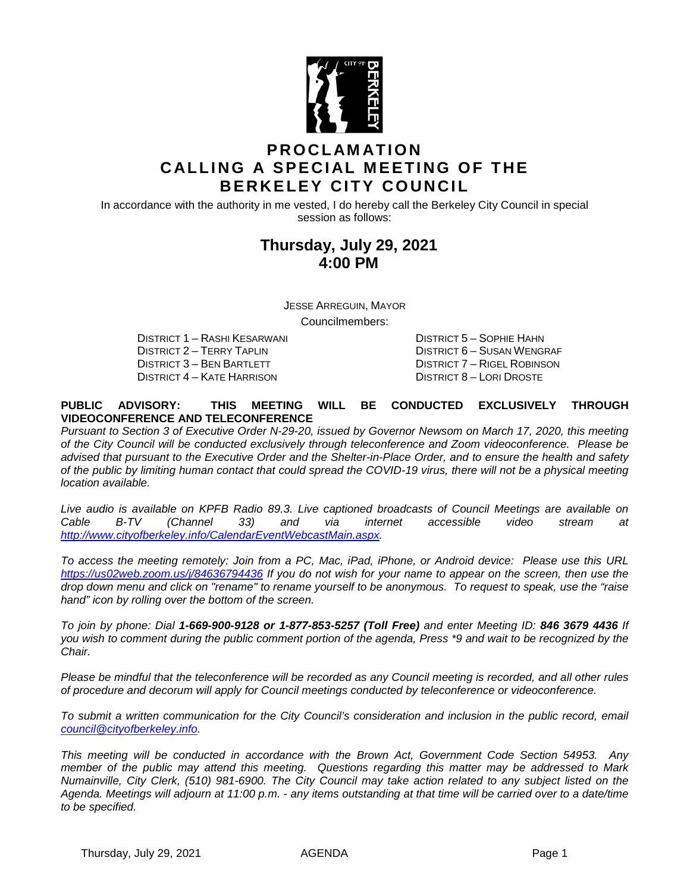

## **PROCLAMATION CALLING A SPECIAL MEETING OF THE BERKELEY CITY COUNCIL**

In accordance with the authority in me vested, I do hereby call the Berkeley City Council in special session as follows:

## **Thursday, July 29, 2021 4:00 PM**

JESSE ARREGUIN, MAYOR

Councilmembers:

DISTRICT 1 – RASHI KESARWANI DISTRICT 5 – SOPHIE HAHN DISTRICT 2 – TERRY TAPLIN DISTRICT 6 – SUSAN WENGRAF DISTRICT 3 – BEN BARTLETT DISTRICT 7 – RIGEL ROBINSON DISTRICT 4 – KATE HARRISON DISTRICT 8 – LORI DROSTE

#### **PUBLIC ADVISORY: THIS MEETING WILL BE CONDUCTED EXCLUSIVELY THROUGH VIDEOCONFERENCE AND TELECONFERENCE**

*Pursuant to Section 3 of Executive Order N-29-20, issued by Governor Newsom on March 17, 2020, this meeting of the City Council will be conducted exclusively through teleconference and Zoom videoconference. Please be advised that pursuant to the Executive Order and the Shelter-in-Place Order, and to ensure the health and safety of the public by limiting human contact that could spread the COVID-19 virus, there will not be a physical meeting location available.* 

*Live audio is available on KPFB Radio 89.3. Live captioned broadcasts of Council Meetings are available on Cable B-TV (Channel 33) and via internet accessible video stream at [http://www.cityofberkeley.info/CalendarEventWebcastMain.aspx.](http://www.cityofberkeley.info/CalendarEventWebcastMain.aspx)*

*To access the meeting remotely: Join from a PC, Mac, iPad, iPhone, or Android device: Please use this URL <https://us02web.zoom.us/j/84636794436> If you do not wish for your name to appear on the screen, then use the drop down menu and click on "rename" to rename yourself to be anonymous. To request to speak, use the "raise hand" icon by rolling over the bottom of the screen.* 

*To join by phone: Dial 1-669-900-9128 or 1-877-853-5257 (Toll Free) and enter Meeting ID: 846 3679 4436 If you wish to comment during the public comment portion of the agenda, Press \*9 and wait to be recognized by the Chair.* 

*Please be mindful that the teleconference will be recorded as any Council meeting is recorded, and all other rules of procedure and decorum will apply for Council meetings conducted by teleconference or videoconference.*

*To submit a written communication for the City Council's consideration and inclusion in the public record, email [council@cityofberkeley.info.](mailto:council@cityofberkeley.info)*

*This meeting will be conducted in accordance with the Brown Act, Government Code Section 54953. Any member of the public may attend this meeting. Questions regarding this matter may be addressed to Mark Numainville, City Clerk, (510) 981-6900. The City Council may take action related to any subject listed on the Agenda. Meetings will adjourn at 11:00 p.m. - any items outstanding at that time will be carried over to a date/time to be specified.*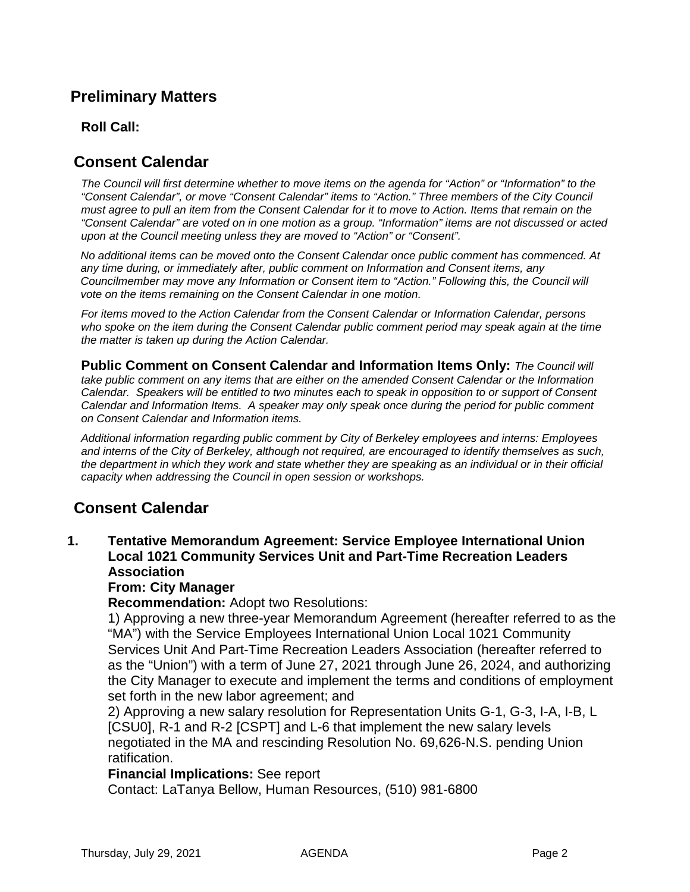# **Preliminary Matters**

### **Roll Call:**

## **Consent Calendar**

*The Council will first determine whether to move items on the agenda for "Action" or "Information" to the "Consent Calendar", or move "Consent Calendar" items to "Action." Three members of the City Council must agree to pull an item from the Consent Calendar for it to move to Action. Items that remain on the "Consent Calendar" are voted on in one motion as a group. "Information" items are not discussed or acted upon at the Council meeting unless they are moved to "Action" or "Consent".*

*No additional items can be moved onto the Consent Calendar once public comment has commenced. At any time during, or immediately after, public comment on Information and Consent items, any Councilmember may move any Information or Consent item to "Action." Following this, the Council will vote on the items remaining on the Consent Calendar in one motion.* 

*For items moved to the Action Calendar from the Consent Calendar or Information Calendar, persons who spoke on the item during the Consent Calendar public comment period may speak again at the time the matter is taken up during the Action Calendar.*

**Public Comment on Consent Calendar and Information Items Only:** *The Council will take public comment on any items that are either on the amended Consent Calendar or the Information Calendar. Speakers will be entitled to two minutes each to speak in opposition to or support of Consent Calendar and Information Items. A speaker may only speak once during the period for public comment on Consent Calendar and Information items.*

*Additional information regarding public comment by City of Berkeley employees and interns: Employees and interns of the City of Berkeley, although not required, are encouraged to identify themselves as such, the department in which they work and state whether they are speaking as an individual or in their official capacity when addressing the Council in open session or workshops.*

## **Consent Calendar**

**1. Tentative Memorandum Agreement: Service Employee International Union Local 1021 Community Services Unit and Part-Time Recreation Leaders Association**

#### **From: City Manager**

**Recommendation:** Adopt two Resolutions:

1) Approving a new three-year Memorandum Agreement (hereafter referred to as the "MA") with the Service Employees International Union Local 1021 Community Services Unit And Part-Time Recreation Leaders Association (hereafter referred to as the "Union") with a term of June 27, 2021 through June 26, 2024, and authorizing the City Manager to execute and implement the terms and conditions of employment set forth in the new labor agreement; and

2) Approving a new salary resolution for Representation Units G-1, G-3, I-A, I-B, L [CSU0], R-1 and R-2 [CSPT] and L-6 that implement the new salary levels negotiated in the MA and rescinding Resolution No. 69,626-N.S. pending Union ratification.

#### **Financial Implications:** See report

Contact: LaTanya Bellow, Human Resources, (510) 981-6800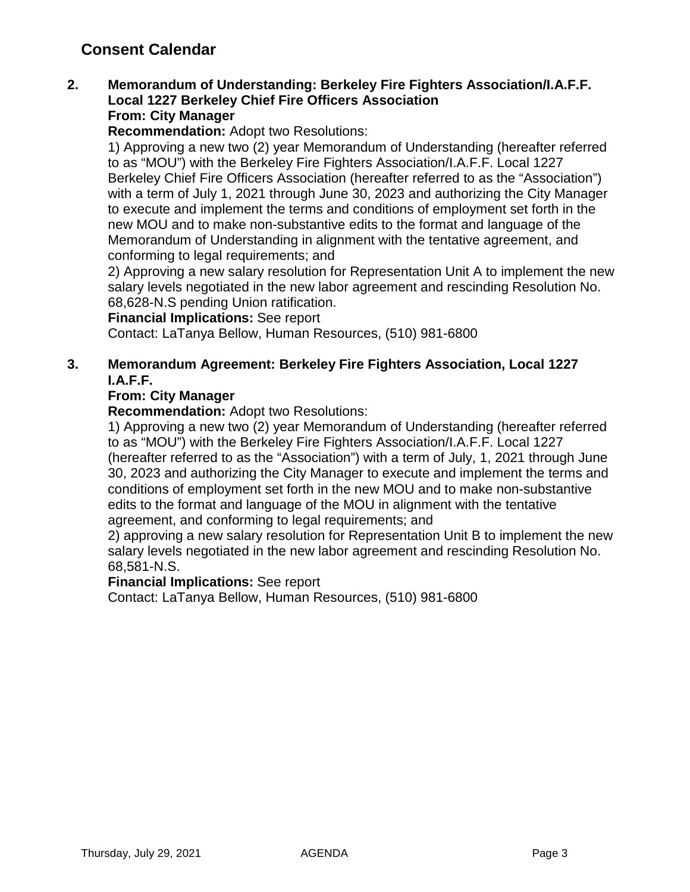# **Consent Calendar**

### **2. Memorandum of Understanding: Berkeley Fire Fighters Association/I.A.F.F. Local 1227 Berkeley Chief Fire Officers Association From: City Manager**

**Recommendation:** Adopt two Resolutions:

1) Approving a new two (2) year Memorandum of Understanding (hereafter referred to as "MOU") with the Berkeley Fire Fighters Association/I.A.F.F. Local 1227 Berkeley Chief Fire Officers Association (hereafter referred to as the "Association") with a term of July 1, 2021 through June 30, 2023 and authorizing the City Manager to execute and implement the terms and conditions of employment set forth in the new MOU and to make non-substantive edits to the format and language of the Memorandum of Understanding in alignment with the tentative agreement, and conforming to legal requirements; and

2) Approving a new salary resolution for Representation Unit A to implement the new salary levels negotiated in the new labor agreement and rescinding Resolution No. 68,628-N.S pending Union ratification.

### **Financial Implications:** See report

Contact: LaTanya Bellow, Human Resources, (510) 981-6800

### **3. Memorandum Agreement: Berkeley Fire Fighters Association, Local 1227 I.A.F.F.**

### **From: City Manager**

**Recommendation:** Adopt two Resolutions:

1) Approving a new two (2) year Memorandum of Understanding (hereafter referred to as "MOU") with the Berkeley Fire Fighters Association/I.A.F.F. Local 1227 (hereafter referred to as the "Association") with a term of July, 1, 2021 through June 30, 2023 and authorizing the City Manager to execute and implement the terms and conditions of employment set forth in the new MOU and to make non-substantive edits to the format and language of the MOU in alignment with the tentative agreement, and conforming to legal requirements; and

2) approving a new salary resolution for Representation Unit B to implement the new salary levels negotiated in the new labor agreement and rescinding Resolution No. 68,581-N.S.

#### **Financial Implications:** See report

Contact: LaTanya Bellow, Human Resources, (510) 981-6800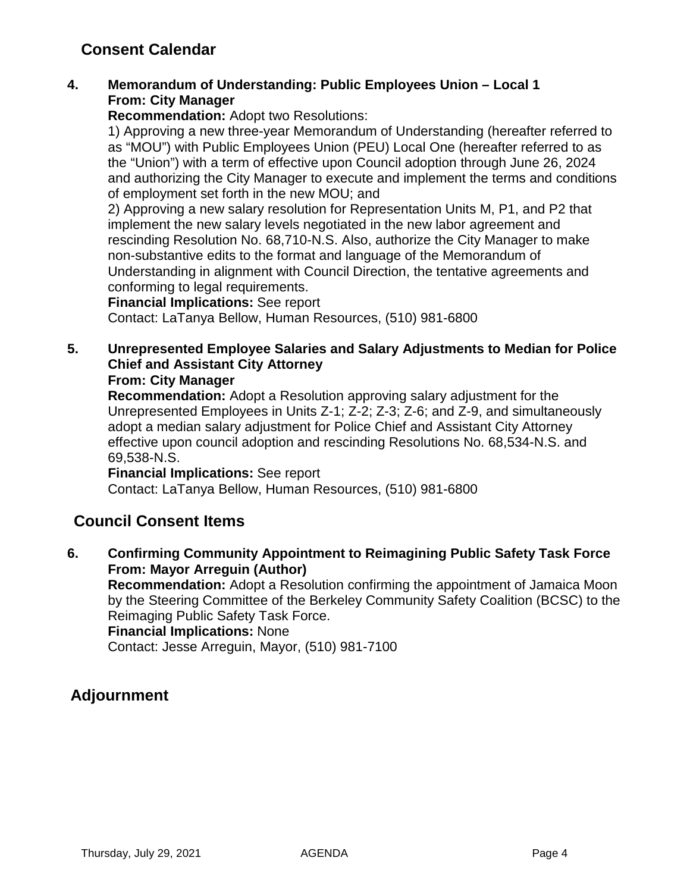# **Consent Calendar**

### **4. Memorandum of Understanding: Public Employees Union – Local 1 From: City Manager**

**Recommendation:** Adopt two Resolutions:

1) Approving a new three-year Memorandum of Understanding (hereafter referred to as "MOU") with Public Employees Union (PEU) Local One (hereafter referred to as the "Union") with a term of effective upon Council adoption through June 26, 2024 and authorizing the City Manager to execute and implement the terms and conditions of employment set forth in the new MOU; and

2) Approving a new salary resolution for Representation Units M, P1, and P2 that implement the new salary levels negotiated in the new labor agreement and rescinding Resolution No. 68,710-N.S. Also, authorize the City Manager to make non-substantive edits to the format and language of the Memorandum of Understanding in alignment with Council Direction, the tentative agreements and conforming to legal requirements.

### **Financial Implications:** See report

Contact: LaTanya Bellow, Human Resources, (510) 981-6800

### **5. Unrepresented Employee Salaries and Salary Adjustments to Median for Police Chief and Assistant City Attorney**

### **From: City Manager**

**Recommendation:** Adopt a Resolution approving salary adjustment for the Unrepresented Employees in Units Z-1; Z-2; Z-3; Z-6; and Z-9, and simultaneously adopt a median salary adjustment for Police Chief and Assistant City Attorney effective upon council adoption and rescinding Resolutions No. 68,534-N.S. and 69,538-N.S.

#### **Financial Implications:** See report

Contact: LaTanya Bellow, Human Resources, (510) 981-6800

## **Council Consent Items**

**6. Confirming Community Appointment to Reimagining Public Safety Task Force From: Mayor Arreguin (Author) Recommendation:** Adopt a Resolution confirming the appointment of Jamaica Moon by the Steering Committee of the Berkeley Community Safety Coalition (BCSC) to the

Reimaging Public Safety Task Force.

**Financial Implications:** None

Contact: Jesse Arreguin, Mayor, (510) 981-7100

## **Adjournment**